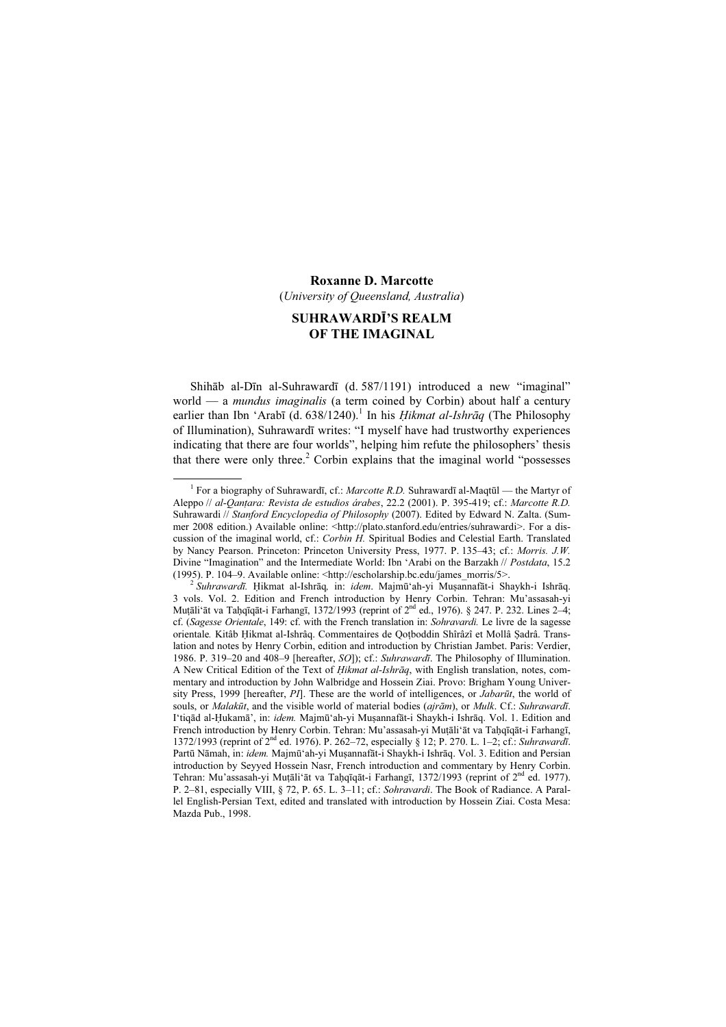#### Roxanne D. Marcotte

(University of Queensland, Australia)

# SUHRAWARDĪ'S REALM OF THE IMAGINAL

Shihāb al-Dīn al-Suhrawardī (d. 587/1191) introduced a new "imaginal" world — a *mundus imaginalis* (a term coined by Corbin) about half a century earlier than Ibn 'Arabī (d. 638/1240).<sup>1</sup> In his *Hikmat al-Ishrāq* (The Philosophy of Illumination), Suhrawardī writes: "I myself have had trustworthy experiences indicating that there are four worlds", helping him refute the philosophers' thesis that there were only three.<sup>2</sup> Corbin explains that the imaginal world "possesses

 $\frac{1}{1}$ <sup>1</sup> For a biography of Suhrawardī, cf.: *Marcotte R.D.* Suhrawardī al-Maqtūl — the Martyr of Aleppo // al-Qanṭara: Revista de estudios árabes, 22.2 (2001). P. 395-419; cf.: Marcotte R.D. Suhrawardi // Stanford Encyclopedia of Philosophy (2007). Edited by Edward N. Zalta. (Summer 2008 edition.) Available online: <http://plato.stanford.edu/entries/suhrawardi>. For a discussion of the imaginal world, cf.: Corbin H. Spiritual Bodies and Celestial Earth. Translated by Nancy Pearson. Princeton: Princeton University Press, 1977. P. 135–43; cf.: Morris. J.W. Divine "Imagination" and the Intermediate World: Ibn 'Arabi on the Barzakh // *Postdata*, 15.2 (1995). P. 104–9. Available online: <http://escholarship.bc.edu/james morris/5>.

 $\frac{2}{3}$ Suhrawardī. Ḥikmat al-Ishrāq, in: idem. Majmū'ah-yi Muṣannafāt-i Shaykh-i Ishrāq. 3 vols. Vol. 2. Edition and French introduction by Henry Corbin. Tehran: Mu'assasah-yi Mutāli'āt va Taḥqīqāt-i Farhangī, 1372/1993 (reprint of  $2<sup>nd</sup>$  ed., 1976). § 247. P. 232. Lines  $2-4$ ; cf. (Sagesse Orientale, 149: cf. with the French translation in: Sohravardi. Le livre de la sagesse orientale. Kitâb Ḥikmat al-Ishrâq. Commentaires de Qoṭboddin Shîrâzî et Mollâ Ṣadrâ. Translation and notes by Henry Corbin, edition and introduction by Christian Jambet. Paris: Verdier, 1986. P. 319–20 and 408–9 [hereafter, SO]); cf.: Suhrawardī. The Philosophy of Illumination. A New Critical Edition of the Text of Hikmat al-Ishrāq, with English translation, notes, commentary and introduction by John Walbridge and Hossein Ziai. Provo: Brigham Young University Press, 1999 [hereafter, PI]. These are the world of intelligences, or *Jabarūt*, the world of souls, or *Malakūt*, and the visible world of material bodies (*ajrām*), or *Mulk.* Cf.: *Suhrawardī*. I'tiqād al-Ḥukamā', in: idem. Majmū'ah-yi Muṣannafāt-i Shaykh-i Ishrāq. Vol. 1. Edition and French introduction by Henry Corbin. Tehran: Mu'assasah-yi Muṭāli'āt va Taḥqīqāt-i Farhangī, 1372/1993 (reprint of 2nd ed. 1976). P. 262–72, especially § 12; P. 270. L. 1–2; cf.: Suhrawardī. Partū Nāmah, in: idem. Majmū'ah-yi Muṣannafāt-i Shaykh-i Ishrāq. Vol. 3. Edition and Persian introduction by Seyyed Hossein Nasr, French introduction and commentary by Henry Corbin. Tehran: Mu'assasah-yi Muṭāli'āt va Taḥqīqāt-i Farhangī, 1372/1993 (reprint of 2<sup>nd</sup> ed. 1977). P. 2–81, especially VIII, § 72, P. 65. L. 3–11; cf.: Sohravardi. The Book of Radiance. A Parallel English-Persian Text, edited and translated with introduction by Hossein Ziai. Costa Mesa: Mazda Pub., 1998.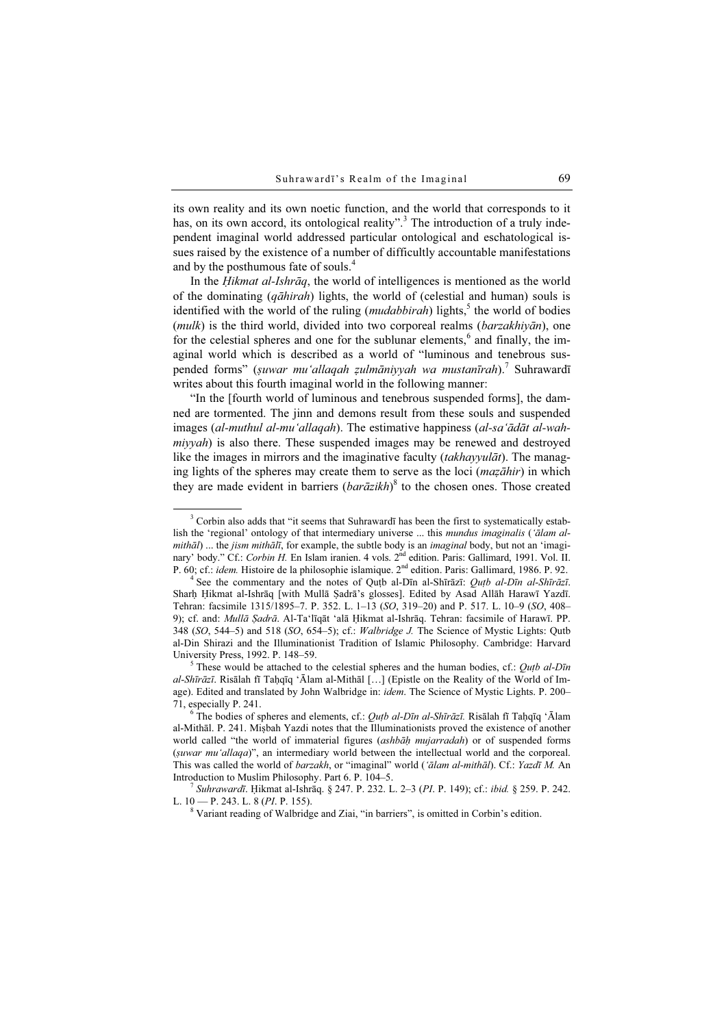its own reality and its own noetic function, and the world that corresponds to it has, on its own accord, its ontological reality".<sup>3</sup> The introduction of a truly independent imaginal world addressed particular ontological and eschatological issues raised by the existence of a number of difficultly accountable manifestations and by the posthumous fate of souls.<sup>4</sup>

In the *Hikmat al-Ishrāq*, the world of intelligences is mentioned as the world of the dominating  $(q\bar{a}hirah)$  lights, the world of (celestial and human) souls is identified with the world of the ruling  $(mudabbirah)$  lights,<sup>5</sup> the world of bodies  $(mulk)$  is the third world, divided into two corporeal realms ( $barzakhiv\bar{a}n$ ), one for the celestial spheres and one for the sublunar elements,<sup>6</sup> and finally, the imaginal world which is described as a world of "luminous and tenebrous suspended forms" (suwar mu'allaqah zulmāniyyah wa mustanīrah).<sup>7</sup> Suhrawardī writes about this fourth imaginal world in the following manner:

"In the [fourth world of luminous and tenebrous suspended forms], the damned are tormented. The jinn and demons result from these souls and suspended images (al-muthul al-mu'allaqah). The estimative happiness (al-sa'ādāt al-wahmiyyah) is also there. These suspended images may be renewed and destroyed like the images in mirrors and the imaginative faculty *(takhayyulāt)*. The managing lights of the spheres may create them to serve as the loci (mazāhir) in which they are made evident in barriers  $(bar\bar{a}zikh)^8$  to the chosen ones. Those created

 $\overline{\phantom{a}}$ <sup>3</sup> Corbin also adds that "it seems that Suhrawardī has been the first to systematically establish the 'regional' ontology of that intermediary universe ... this mundus imaginalis ('ālam almithāl) ... the jism mithālī, for example, the subtle body is an imaginal body, but not an 'imaginary' body." Cf.: Corbin H. En Islam iranien. 4 vols. 2<sup>nd</sup> edition. Paris: Gallimard, 1991. Vol. II. P. 60; cf.: idem. Histoire de la philosophie islamique. 2<sup>nd</sup> edition. Paris: Gallimard, 1986. P. 92.

<sup>&</sup>lt;sup>4</sup> See the commentary and the notes of Quṭb al-Dīn al-Shīrāzī: Quṭb al-Dīn al-Shīrāzī. Sharḥ Ḥikmat al-Ishrāq [with Mullā Ṣadrā's glosses]. Edited by Asad Allāh Harawī Yazdī. Tehran: facsimile 1315/1895–7. P. 352. L. 1–13 (SO, 319–20) and P. 517. L. 10–9 (SO, 408– 9); cf. and: Mullā Sadrā. Al-Ta'līqāt 'alā Hikmat al-Ishrāq. Tehran: facsimile of Harawī. PP. 348 (SO, 544–5) and 518 (SO, 654–5); cf.: Walbridge J. The Science of Mystic Lights: Qutb al-Din Shirazi and the Illuminationist Tradition of Islamic Philosophy. Cambridge: Harvard University Press, 1992. P. 148-59.

<sup>&</sup>lt;sup>5</sup> These would be attached to the celestial spheres and the human bodies, cf.: *Outb al-Dīn* al-Shīrāzī. Risālah fī Taḥqīq 'Ālam al-Mithāl […] (Epistle on the Reality of the World of Image). Edited and translated by John Walbridge in: idem. The Science of Mystic Lights. P. 200– 71, especially P. 241. <sup>6</sup>

<sup>&</sup>lt;sup>6</sup> The bodies of spheres and elements, cf.: Qut al-Dīn al-Shīrāzī. Risālah fī Taḥqīq 'Ālam al-Mithāl. P. 241. Miṣbah Yazdi notes that the Illuminationists proved the existence of another world called "the world of immaterial figures (ashbah mujarradah) or of suspended forms (ṣuwar mu'allaqa)", an intermediary world between the intellectual world and the corporeal. This was called the world of barzakh, or "imaginal" world ('ālam al-mithāl). Cf.: Yazdī M. An Introduction to Muslim Philosophy. Part 6. P. 104–5. <sup>7</sup> Suhrawardī. Ḥikmat al-Ishrāq. § 247. P. 232. L. 2–3 (PI. P. 149); cf.: ibid. § 259. P. 242.

L.  $10 - P. 243$ . L. 8 (*PI*. P. 155).

<sup>&</sup>lt;sup>8</sup> Variant reading of Walbridge and Ziai, "in barriers", is omitted in Corbin's edition.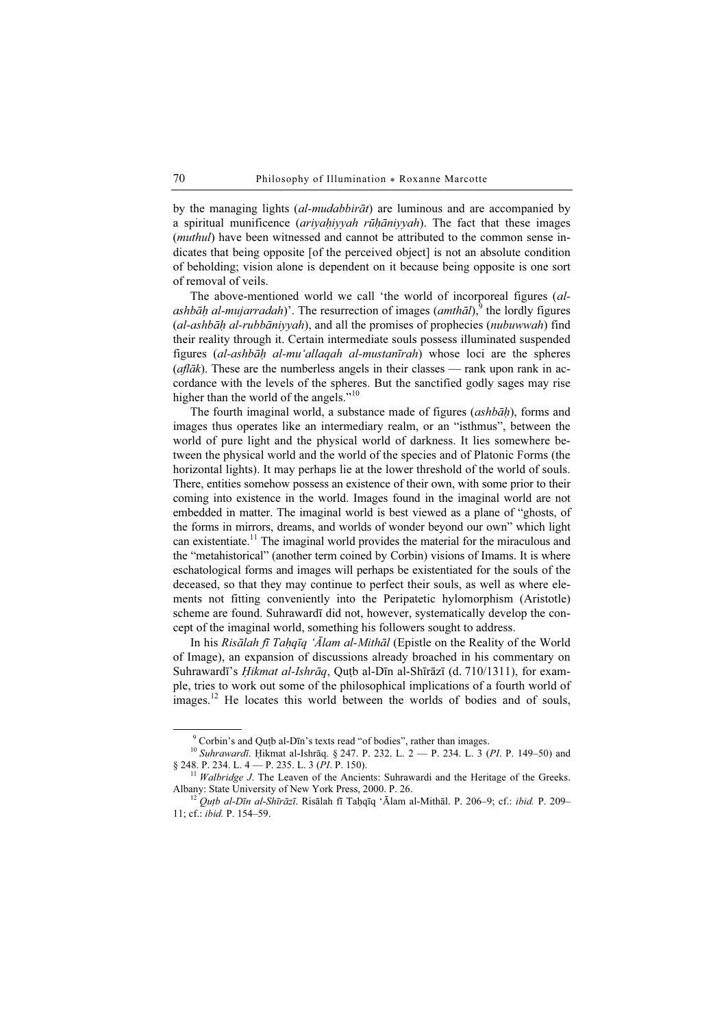by the managing lights  $(al-mudabbir\bar{a}t)$  are luminous and are accompanied by a spiritual munificence  $(ariyahiyyah r\bar{u}h\bar{a}niyyah)$ . The fact that these images (*muthul*) have been witnessed and cannot be attributed to the common sense indicates that being opposite [of the perceived object] is not an absolute condition of beholding; vision alone is dependent on it because being opposite is one sort of removal of veils.

The above-mentioned world we call 'the world of incorporeal figures (alashbāḥ al-mujarradah)'. The resurrection of images (amthāl), the lordly figures (al-ashbāḥ al-rubbāniyyah), and all the promises of prophecies (nubuwwah) find their reality through it. Certain intermediate souls possess illuminated suspended figures (al-ashbāḥ al-mu'allaqah al-mustanīrah) whose loci are the spheres  $(\textit{aflāk})$ . These are the numberless angels in their classes — rank upon rank in accordance with the levels of the spheres. But the sanctified godly sages may rise higher than the world of the angels."<sup>10</sup>

The fourth imaginal world, a substance made of figures (ashbah), forms and images thus operates like an intermediary realm, or an "isthmus", between the world of pure light and the physical world of darkness. It lies somewhere between the physical world and the world of the species and of Platonic Forms (the horizontal lights). It may perhaps lie at the lower threshold of the world of souls. There, entities somehow possess an existence of their own, with some prior to their coming into existence in the world. Images found in the imaginal world are not embedded in matter. The imaginal world is best viewed as a plane of "ghosts, of the forms in mirrors, dreams, and worlds of wonder beyond our own" which light can existentiate.<sup>11</sup> The imaginal world provides the material for the miraculous and the "metahistorical" (another term coined by Corbin) visions of Imams. It is where eschatological forms and images will perhaps be existentiated for the souls of the deceased, so that they may continue to perfect their souls, as well as where elements not fitting conveniently into the Peripatetic hylomorphism (Aristotle) scheme are found. Suhrawardī did not, however, systematically develop the concept of the imaginal world, something his followers sought to address.

In his Risālah fī Tahqīq 'Ālam al-Mithāl (Epistle on the Reality of the World of Image), an expansion of discussions already broached in his commentary on Suhrawardī's *Hikmat al-Ishrāq*, Qutb al-Dīn al-Shīrāzī (d. 710/1311), for example, tries to work out some of the philosophical implications of a fourth world of images.<sup>12</sup> He locates this world between the worlds of bodies and of souls,

 $\frac{1}{9}$ <sup>9</sup> Corbin's and Quṭb al-Dīn's texts read "of bodies", rather than images.

<sup>&</sup>lt;sup>10</sup> Suhrawardī. Ḥikmat al-Ishrāq. § 247. P. 232. L. 2 — P. 234. L. 3 (PI. P. 149–50) and § 248. P. 234. L. 4 — P. 235. L. 3 (PI. P. 150).

<sup>&</sup>lt;sup>11</sup> Walbridge J. The Leaven of the Ancients: Suhrawardi and the Heritage of the Greeks. Albany: State University of New York Press, 2000. P. 26.

 $^{12}$  Qutb al-Dīn al-Shīrāzī. Risālah fī Taḥqīq 'Ālam al-Mithāl. P. 206–9; cf.: ibid. P. 209– 11; cf.: ibid. P. 154–59.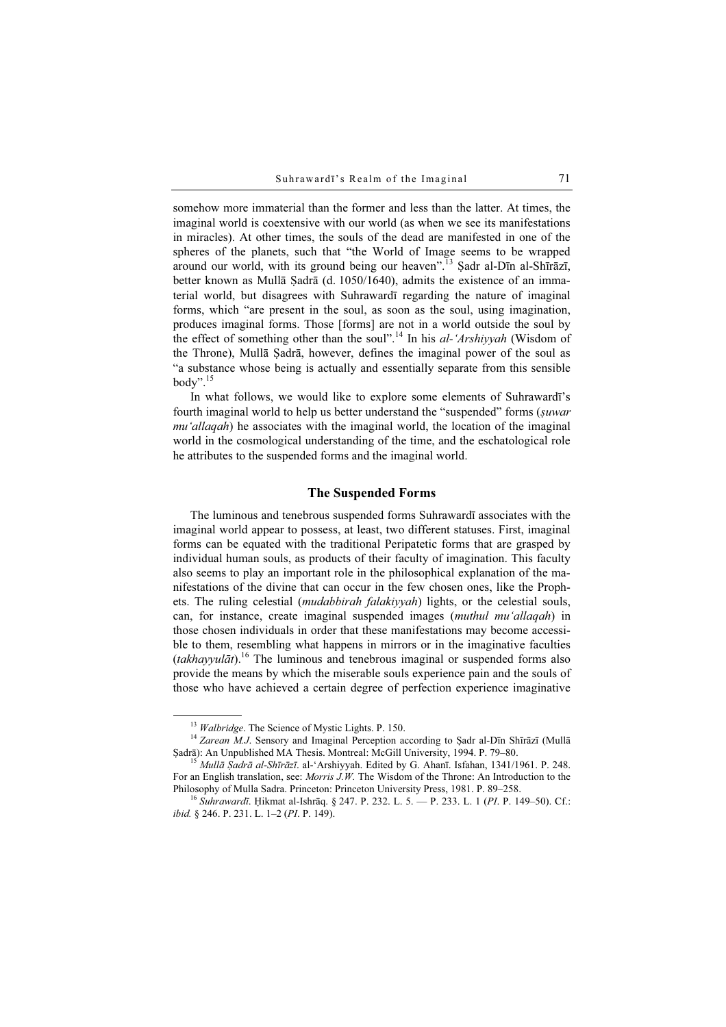somehow more immaterial than the former and less than the latter. At times, the imaginal world is coextensive with our world (as when we see its manifestations in miracles). At other times, the souls of the dead are manifested in one of the spheres of the planets, such that "the World of Image seems to be wrapped around our world, with its ground being our heaven".<sup>13</sup> Şadr al-Dīn al-Shīrāzī, better known as Mullā Sadrā (d. 1050/1640), admits the existence of an immaterial world, but disagrees with Suhrawardī regarding the nature of imaginal forms, which "are present in the soul, as soon as the soul, using imagination, produces imaginal forms. Those [forms] are not in a world outside the soul by the effect of something other than the soul".<sup>14</sup> In his *al-'Arshiyyah* (Wisdom of the Throne), Mullā Ṣadrā, however, defines the imaginal power of the soul as "a substance whose being is actually and essentially separate from this sensible body". $15$ 

In what follows, we would like to explore some elements of Suhrawardī's fourth imaginal world to help us better understand the "suspended" forms (suwar mu'allaqah) he associates with the imaginal world, the location of the imaginal world in the cosmological understanding of the time, and the eschatological role he attributes to the suspended forms and the imaginal world.

#### The Suspended Forms

The luminous and tenebrous suspended forms Suhrawardī associates with the imaginal world appear to possess, at least, two different statuses. First, imaginal forms can be equated with the traditional Peripatetic forms that are grasped by individual human souls, as products of their faculty of imagination. This faculty also seems to play an important role in the philosophical explanation of the manifestations of the divine that can occur in the few chosen ones, like the Prophets. The ruling celestial (mudabbirah falakiyyah) lights, or the celestial souls, can, for instance, create imaginal suspended images (muthul mu'allaqah) in those chosen individuals in order that these manifestations may become accessible to them, resembling what happens in mirrors or in the imaginative faculties  $(takhayyulāt).$ <sup>16</sup> The luminous and tenebrous imaginal or suspended forms also provide the means by which the miserable souls experience pain and the souls of those who have achieved a certain degree of perfection experience imaginative

<sup>&</sup>lt;sup>13</sup> Walbridge. The Science of Mystic Lights. P. 150.<br><sup>14</sup> Zarean M.J. Sensory and Imaginal Perception according to Şadr al-Dīn Shīrāzī (Mullā Şadrā): An Unpublished MA Thesis. Montreal: McGill University, 1994. P. 79–80.<br><sup>15</sup> Mullā *Şadrā al-Shīrāzī*. al-'Arshiyyah. Edited by G. Ahanī. Isfahan, 1341/1961. P. 248.

For an English translation, see: *Morris J.W.* The Wisdom of the Throne: An Introduction to the Philosophy of Mulla Sadra. Princeton: Princeton University Press, 1981. P. 89–258.

<sup>&</sup>lt;sup>16</sup> Suhrawardī. Ḥikmat al-Ishrāq. § 247. P. 232. L. 5. — P. 233. L. 1 (PI. P. 149–50). Cf.: ibid. § 246. P. 231. L. 1–2 (PI. P. 149).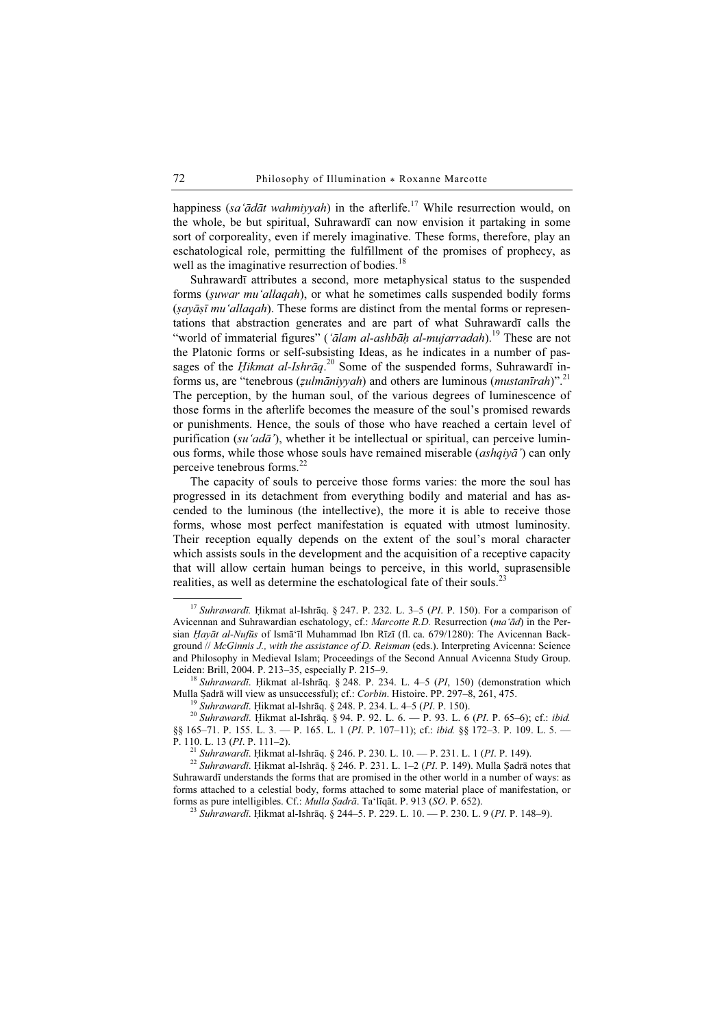happiness (sa'ādāt wahmiyyah) in the afterlife.<sup>17</sup> While resurrection would, on the whole, be but spiritual, Suhrawardī can now envision it partaking in some sort of corporeality, even if merely imaginative. These forms, therefore, play an eschatological role, permitting the fulfillment of the promises of prophecy, as well as the imaginative resurrection of bodies.<sup>18</sup>

Suhrawardī attributes a second, more metaphysical status to the suspended forms (ṣuwar mu'allaqah), or what he sometimes calls suspended bodily forms  $(sayāsī mu'allagah)$ . These forms are distinct from the mental forms or representations that abstraction generates and are part of what Suhrawardī calls the "world of immaterial figures" ('ālam al-ashbāḥ al-mujarradah).<sup>19</sup> These are not the Platonic forms or self-subsisting Ideas, as he indicates in a number of passages of the *Hikmat al-Ishrāq*.<sup>20</sup> Some of the suspended forms, Suhraward<del>i</del> informs us, are "tenebrous ( $zulmāniyyah$ ) and others are luminous ( $mustanīrah$ )".<sup>21</sup> The perception, by the human soul, of the various degrees of luminescence of those forms in the afterlife becomes the measure of the soul's promised rewards or punishments. Hence, the souls of those who have reached a certain level of purification (su'ad $\bar{a}$ '), whether it be intellectual or spiritual, can perceive luminous forms, while those whose souls have remained miserable *(ashqiya*<sup>'</sup>) can only perceive tenebrous forms.<sup>22</sup>

The capacity of souls to perceive those forms varies: the more the soul has progressed in its detachment from everything bodily and material and has ascended to the luminous (the intellective), the more it is able to receive those forms, whose most perfect manifestation is equated with utmost luminosity. Their reception equally depends on the extent of the soul's moral character which assists souls in the development and the acquisition of a receptive capacity that will allow certain human beings to perceive, in this world, suprasensible realities, as well as determine the eschatological fate of their souls.<sup>23</sup>

<sup>&</sup>lt;sup>17</sup> Suhrawardī. Ḥikmat al-Ishrāq. § 247. P. 232. L. 3–5 (PI. P. 150). For a comparison of Avicennan and Suhrawardian eschatology, cf.: Marcotte R.D. Resurrection (ma'ād) in the Persian Ḥayāt al-Nufūs of Ismā'īl Muhammad Ibn Rīzī (fl. ca. 679/1280): The Avicennan Background // McGinnis J., with the assistance of D. Reisman (eds.). Interpreting Avicenna: Science and Philosophy in Medieval Islam; Proceedings of the Second Annual Avicenna Study Group.

Leiden: Brill, 2004. P. 213–35, especially P. 215–9.<br><sup>18</sup> Suhrawardī. Ḥikmat al-Ishrāq. § 248. P. 234. L. 4–5 (*PI*, 150) (demonstration which Mulla Sadrā will view as unsuccessful); cf.: *Corbin*. Histoire. PP. 297–8, 26

<sup>&</sup>lt;sup>19</sup> Suhrawardī. Hikmat al-Ishrāq. § 248. P. 234. L. 4–5 (PI. P. 150).<br><sup>20</sup> Suhrawardī. Hikmat al-Ishrāq. § 248. P. 92. L. 6. — P. 93. L. 6 (PI. P. 65–6); cf.: ibid. §§ 165–71. P. 155. L. 3. — P. 165. L. 1 (PI. P. 107–11); cf.: *ibid.* §§ 172–3. P. 109. L. 5. — P. 110. L. 13 (PI. P. 111–2).

<sup>&</sup>lt;sup>21</sup> Suhrawardī. Ḥikmat al-Ishrāq. § 246. P. 230. L. 10. — P. 231. L. 1 (PI. P. 149). 22 Suhrawardī. Ḥikmat al-Ishrāq. § 246. P. 231. L. 1–2 (PI. P. 149). Mulla Ṣadrā notes that Suhrawardī understands the forms that are promised in the other world in a number of ways: as forms attached to a celestial body, forms attached to some material place of manifestation, or forms as pure intelligibles. Cf.: Mulla Ṣadrā. Ta'līqāt. P. 913 (SO. P. 652). <sup>23</sup> Suhrawardī. Ḥikmat al-Ishrāq. § 244–5. P. 229. L. 10. — P. 230. L. 9 (PI. P. 148–9).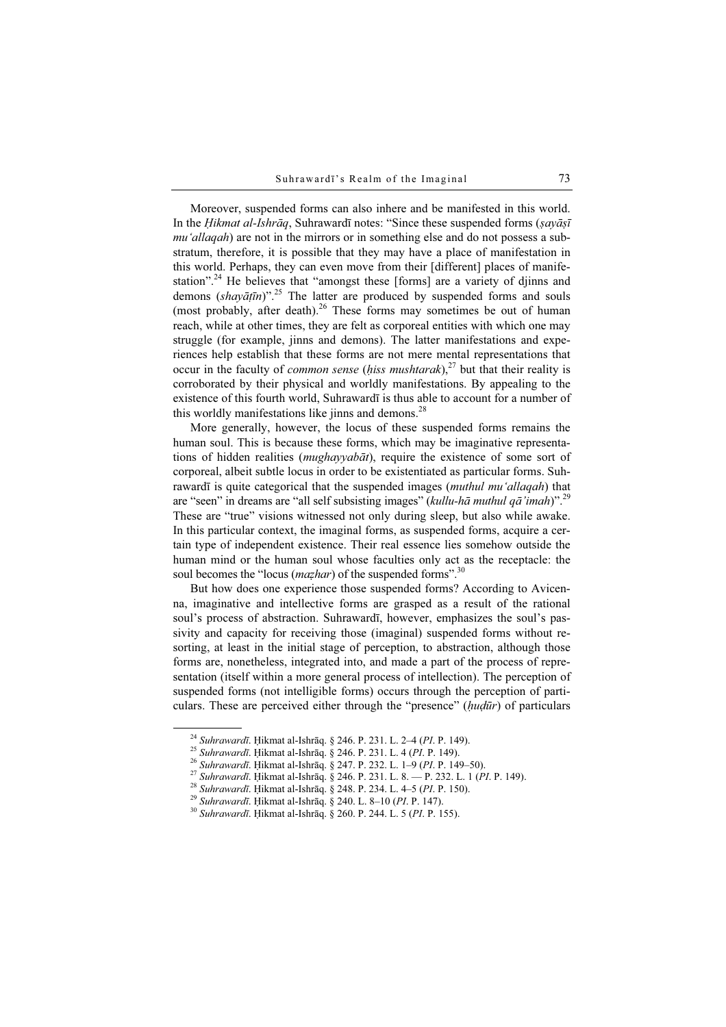Moreover, suspended forms can also inhere and be manifested in this world. In the Hikmat al-Ishrāq, Suhrawardī notes: "Since these suspended forms (sayāsī mu'allagah) are not in the mirrors or in something else and do not possess a substratum, therefore, it is possible that they may have a place of manifestation in this world. Perhaps, they can even move from their [different] places of manifestation".<sup>24</sup> He believes that "amongst these [forms] are a variety of djinns and demons  $(shayāțīn)$ ".<sup>25</sup> The latter are produced by suspended forms and souls (most probably, after death).<sup>26</sup> These forms may sometimes be out of human reach, while at other times, they are felt as corporeal entities with which one may struggle (for example, jinns and demons). The latter manifestations and experiences help establish that these forms are not mere mental representations that occur in the faculty of *common sense* (hiss mushtarak),<sup>27</sup> but that their reality is corroborated by their physical and worldly manifestations. By appealing to the existence of this fourth world, Suhrawardī is thus able to account for a number of this worldly manifestations like jinns and demons.<sup>28</sup>

More generally, however, the locus of these suspended forms remains the human soul. This is because these forms, which may be imaginative representations of hidden realities (mughayyabāt), require the existence of some sort of corporeal, albeit subtle locus in order to be existentiated as particular forms. Suhrawardī is quite categorical that the suspended images (*muthul mu'allagah*) that are "seen" in dreams are "all self subsisting images" (kullu-hā muthul qā'imah)".<sup>29</sup> These are "true" visions witnessed not only during sleep, but also while awake. In this particular context, the imaginal forms, as suspended forms, acquire a certain type of independent existence. Their real essence lies somehow outside the human mind or the human soul whose faculties only act as the receptacle: the soul becomes the "locus (*mazhar*) of the suspended forms".<sup>30</sup>

But how does one experience those suspended forms? According to Avicenna, imaginative and intellective forms are grasped as a result of the rational soul's process of abstraction. Suhrawardī, however, emphasizes the soul's passivity and capacity for receiving those (imaginal) suspended forms without resorting, at least in the initial stage of perception, to abstraction, although those forms are, nonetheless, integrated into, and made a part of the process of representation (itself within a more general process of intellection). The perception of suspended forms (not intelligible forms) occurs through the perception of particulars. These are perceived either through the "presence" (hudūr) of particulars

<sup>&</sup>lt;sup>24</sup> Suhrawardī. Hikmat al-Ishrāq. § 246. P. 231. L. 2–4 (PI. P. 149).<br><sup>25</sup> Suhrawardī. Hikmat al-Ishrāq. § 246. P. 231. L. 4 (PI. P. 149).<br><sup>26</sup> Suhrawardī. Hikmat al-Ishrāq. § 247. P. 232. L. 1–9 (PI. P. 149–50).<br><sup>27</sup> Su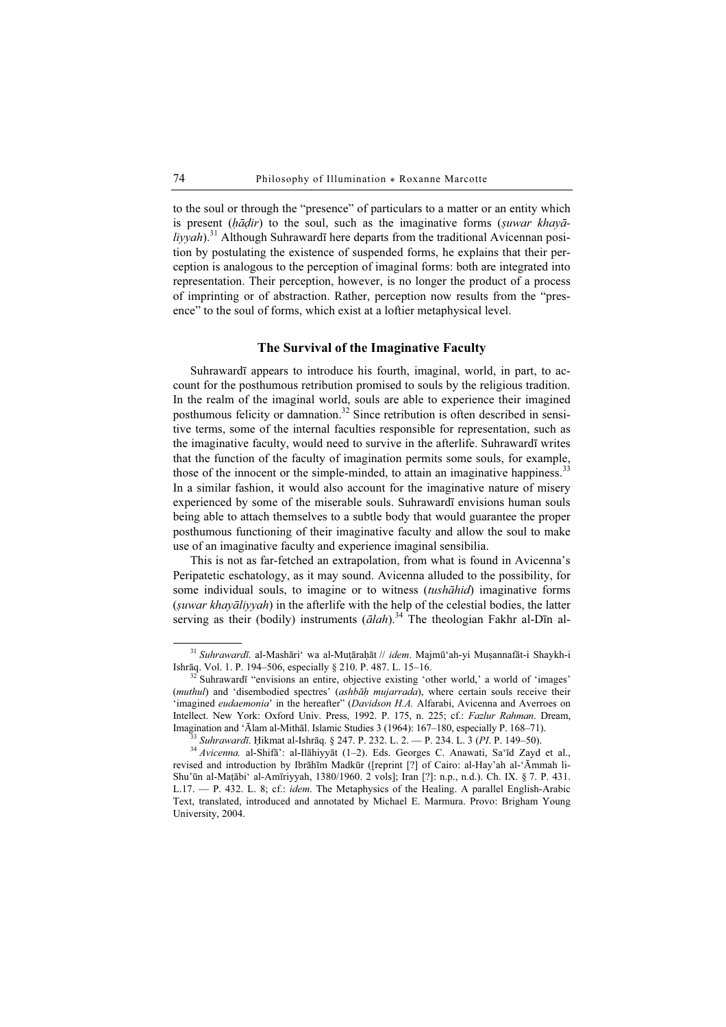to the soul or through the "presence" of particulars to a matter or an entity which is present  $(h\bar{a}dir)$  to the soul, such as the imaginative forms (suwar khay $\bar{a}$  $livyah$ .<sup>31</sup> Although Suhrawardī here departs from the traditional Avicennan position by postulating the existence of suspended forms, he explains that their perception is analogous to the perception of imaginal forms: both are integrated into representation. Their perception, however, is no longer the product of a process of imprinting or of abstraction. Rather, perception now results from the "presence" to the soul of forms, which exist at a loftier metaphysical level.

### The Survival of the Imaginative Faculty

Suhrawardī appears to introduce his fourth, imaginal, world, in part, to account for the posthumous retribution promised to souls by the religious tradition. In the realm of the imaginal world, souls are able to experience their imagined posthumous felicity or damnation.<sup>32</sup> Since retribution is often described in sensitive terms, some of the internal faculties responsible for representation, such as the imaginative faculty, would need to survive in the afterlife. Suhrawardī writes that the function of the faculty of imagination permits some souls, for example, those of the innocent or the simple-minded, to attain an imaginative happiness.<sup>33</sup> In a similar fashion, it would also account for the imaginative nature of misery experienced by some of the miserable souls. Suhrawardī envisions human souls being able to attach themselves to a subtle body that would guarantee the proper posthumous functioning of their imaginative faculty and allow the soul to make use of an imaginative faculty and experience imaginal sensibilia.

This is not as far-fetched an extrapolation, from what is found in Avicenna's Peripatetic eschatology, as it may sound. Avicenna alluded to the possibility, for some individual souls, to imagine or to witness (tushāhid) imaginative forms (ṣuwar khayāliyyah) in the afterlife with the help of the celestial bodies, the latter serving as their (bodily) instruments  $(\bar{a}lah)^{34}$ . The theologian Fakhr al-Dīn al-

<sup>&</sup>lt;sup>31</sup> Suhrawardī. al-Mashāri' wa al-Muṭāraḥāt // idem. Majmū'ah-yi Muṣannafāt-i Shaykh-i Ishrāq. Vol. 1. P. 194–506, especially § 210. P. 487. L. 15–16.

 $\frac{32}{2}$  Suhrawardī "envisions an entire, objective existing 'other world,' a world of 'images' (muthul) and 'disembodied spectres' (ashbāḥ mujarrada), where certain souls receive their 'imagined eudaemonia' in the hereafter" (Davidson H.A. Alfarabi, Avicenna and Averroes on Intellect. New York: Oxford Univ. Press, 1992. P. 175, n. 225; cf.: Fazlur Rahman. Dream, Imagination and 'Ālam al-Mithāl. Islamic Studies 3 (1964): 167–180, especially P. 168–71).

<sup>&</sup>lt;sup>33</sup> Suhrawardī. Ḥikmat al-Ishrāq. § 247. P. 232. L. 2. — P. 234. L. 3 (PI. P. 149–50).<br><sup>34</sup> Avicenna. al-Shifā': al-Ilāhiyyāt (1–2). Eds. Georges C. Anawati, Sa'īd Zayd et al., revised and introduction by Ibrāhīm Madkūr ([reprint [?] of Cairo: al-Hay'ah al-'Āmmah li-Shu'ūn al-Maṭābi' al-Amīriyyah, 1380/1960. 2 vols]; Iran [?]: n.p., n.d.). Ch. IX. § 7. P. 431. L.17. — P. 432. L. 8; cf.: idem. The Metaphysics of the Healing. A parallel English-Arabic Text, translated, introduced and annotated by Michael E. Marmura. Provo: Brigham Young University, 2004.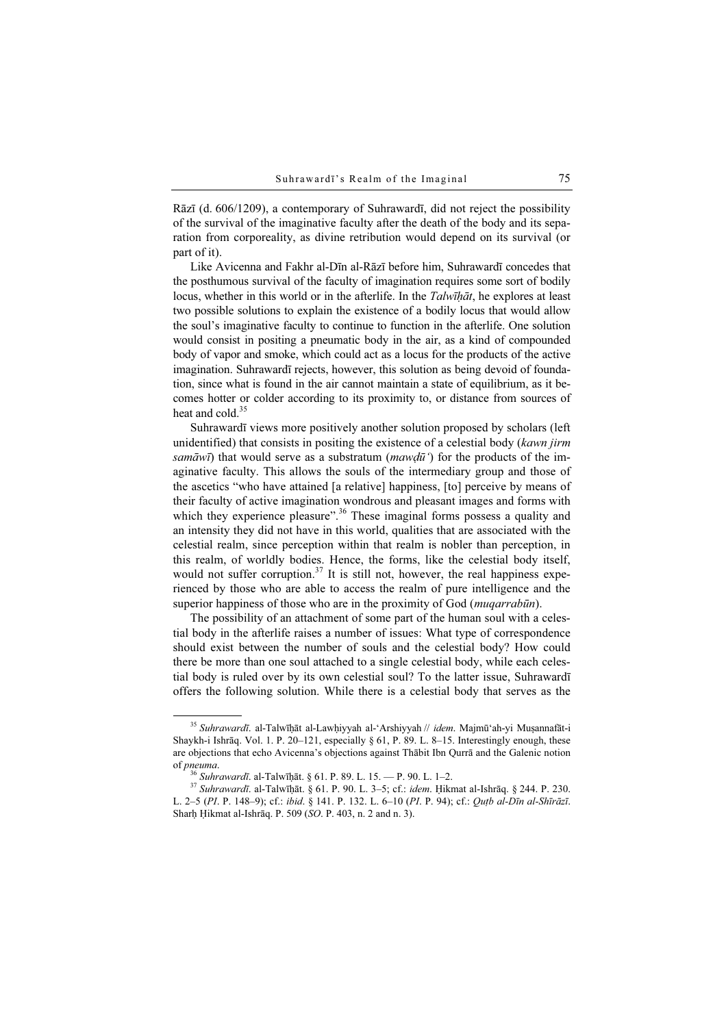Rāzī (d. 606/1209), a contemporary of Suhrawardī, did not reject the possibility of the survival of the imaginative faculty after the death of the body and its separation from corporeality, as divine retribution would depend on its survival (or part of it).

Like Avicenna and Fakhr al-Dīn al-Rāzī before him, Suhrawardī concedes that the posthumous survival of the faculty of imagination requires some sort of bodily locus, whether in this world or in the afterlife. In the Talwīḥāt, he explores at least two possible solutions to explain the existence of a bodily locus that would allow the soul's imaginative faculty to continue to function in the afterlife. One solution would consist in positing a pneumatic body in the air, as a kind of compounded body of vapor and smoke, which could act as a locus for the products of the active imagination. Suhrawardī rejects, however, this solution as being devoid of foundation, since what is found in the air cannot maintain a state of equilibrium, as it becomes hotter or colder according to its proximity to, or distance from sources of heat and cold  $35$ 

Suhrawardī views more positively another solution proposed by scholars (left unidentified) that consists in positing the existence of a celestial body (kawn jirm samāwī) that would serve as a substratum (mawdū') for the products of the imaginative faculty. This allows the souls of the intermediary group and those of the ascetics "who have attained [a relative] happiness, [to] perceive by means of their faculty of active imagination wondrous and pleasant images and forms with which they experience pleasure".<sup>36</sup> These imaginal forms possess a quality and an intensity they did not have in this world, qualities that are associated with the celestial realm, since perception within that realm is nobler than perception, in this realm, of worldly bodies. Hence, the forms, like the celestial body itself, would not suffer corruption.<sup>37</sup> It is still not, however, the real happiness experienced by those who are able to access the realm of pure intelligence and the superior happiness of those who are in the proximity of God (*muqarrabūn*).

The possibility of an attachment of some part of the human soul with a celestial body in the afterlife raises a number of issues: What type of correspondence should exist between the number of souls and the celestial body? How could there be more than one soul attached to a single celestial body, while each celestial body is ruled over by its own celestial soul? To the latter issue, Suhrawardī offers the following solution. While there is a celestial body that serves as the

<sup>&</sup>lt;sup>35</sup> Suhrawardī. al-Talwīḥāt al-Lawḥiyyah al-'Arshiyyah // idem. Majmū'ah-yi Muṣannafāt-i Shaykh-i Ishrāq. Vol. 1. P. 20–121, especially § 61, P. 89. L. 8–15. Interestingly enough, these are objections that echo Avicenna's objections against Thābit Ibn Qurrā and the Galenic notion of pneuma.<br><sup>36</sup> Suhrawardī. al-Talwīḥāt. § 61. P. 89. L. 15. — P. 90. L. 1–2.<br><sup>37</sup> Suhrawardī. al-Talwīḥāt. § 61. P. 90. L. 3–5; cf.: *idem.* Ḥikmat al-Ishrāq. § 244. P. 230.

L. 2–5 (PI. P. 148–9); cf.: ibid. § 141. P. 132. L. 6–10 (PI. P. 94); cf.: Quṭb al-Dīn al-Shīrāzī. Sharh Hikmat al-Ishraq. P. 509 (SO. P. 403, n. 2 and n. 3).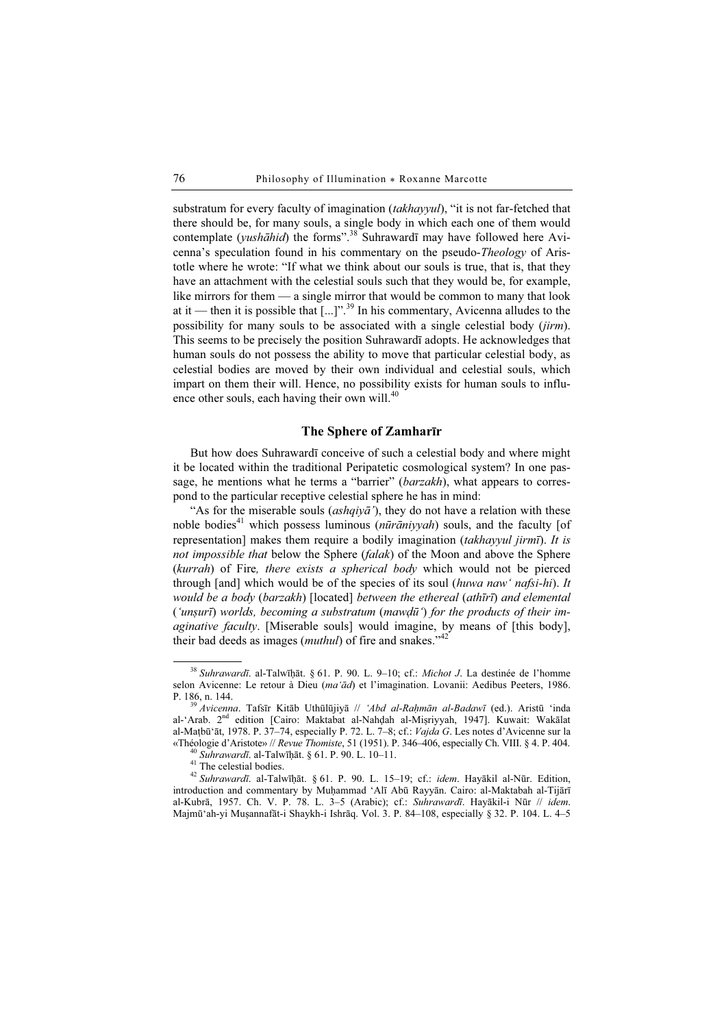substratum for every faculty of imagination *(takhayyul)*, "it is not far-fetched that there should be, for many souls, a single body in which each one of them would contemplate (*yushāhid*) the forms".<sup>38</sup> Suhrawardī may have followed here Avicenna's speculation found in his commentary on the pseudo-Theology of Aristotle where he wrote: "If what we think about our souls is true, that is, that they have an attachment with the celestial souls such that they would be, for example, like mirrors for them — a single mirror that would be common to many that look at it — then it is possible that  $\left[\ldots\right]$ ".<sup>39</sup> In his commentary, Avicenna alludes to the possibility for many souls to be associated with a single celestial body (jirm). This seems to be precisely the position Suhrawardī adopts. He acknowledges that human souls do not possess the ability to move that particular celestial body, as celestial bodies are moved by their own individual and celestial souls, which impart on them their will. Hence, no possibility exists for human souls to influence other souls, each having their own will.<sup>40</sup>

## The Sphere of Zamharīr

But how does Suhrawardī conceive of such a celestial body and where might it be located within the traditional Peripatetic cosmological system? In one passage, he mentions what he terms a "barrier" (barzakh), what appears to correspond to the particular receptive celestial sphere he has in mind:

"As for the miserable souls (*ashqiya*<sup>'</sup>), they do not have a relation with these noble bodies<sup>41</sup> which possess luminous ( $n\bar{u}r\bar{a}niyvah$ ) souls, and the faculty [of representation] makes them require a bodily imagination (takhayyul jirmī). It is not impossible that below the Sphere (falak) of the Moon and above the Sphere (kurrah) of Fire, there exists a spherical body which would not be pierced through [and] which would be of the species of its soul (huwa naw' nafsi-hi). It would be a body (barzakh) [located] between the ethereal (athīrī) and elemental ('unṣurī) worlds, becoming a substratum (mawḍū') for the products of their imaginative faculty. [Miserable souls] would imagine, by means of [this body], their bad deeds as images (*muthul*) of fire and snakes."<sup>42</sup>

 $38$  Suhrawardī. al-Talwīḥāt. § 61. P. 90. L. 9–10; cf.: Michot J. La destinée de l'homme selon Avicenne: Le retour à Dieu (ma'ād) et l'imagination. Lovanii: Aedibus Peeters, 1986.<br>P. 186, n. 144.

<sup>&</sup>lt;sup>39</sup> Avicenna. Tafsīr Kitāb Uthūlūjiyā // 'Abd al-Raḥmān al-Badawī (ed.). Aristū 'inda al-'Arab. 2nd edition [Cairo: Maktabat al-Nahḍah al-Miṣriyyah, 1947]. Kuwait: Wakālat al-Maṭbū'āt, 1978. P. 37–74, especially P. 72. L. 7–8; cf.: Vajda G. Les notes d'Avicenne sur la «Théologie d'Aristote» // Revue Thomiste, 51 (1951). P. 346–406, especially Ch. VIII. § 4. P. 404.  $^{40}$  Suhrawardī. al-Talwīḥāt. § 61. P. 90. L. 10–11.  $^{41}$  The celestial bodies.

<sup>42</sup> Suhrawardī. al-Talwīḥāt. § 61. P. 90. L. 15–19; cf.: idem. Hayākil al-Nūr. Edition, introduction and commentary by Muḥammad 'Alī Abū Rayyān. Cairo: al-Maktabah al-Tijārī al-Kubrā, 1957. Ch. V. P. 78. L. 3–5 (Arabic); cf.: Suhrawardī. Hayākil-i Nūr // idem. Majmū'ah-yi Muṣannafāt-i Shaykh-i Ishrāq. Vol. 3. P. 84–108, especially § 32. P. 104. L. 4–5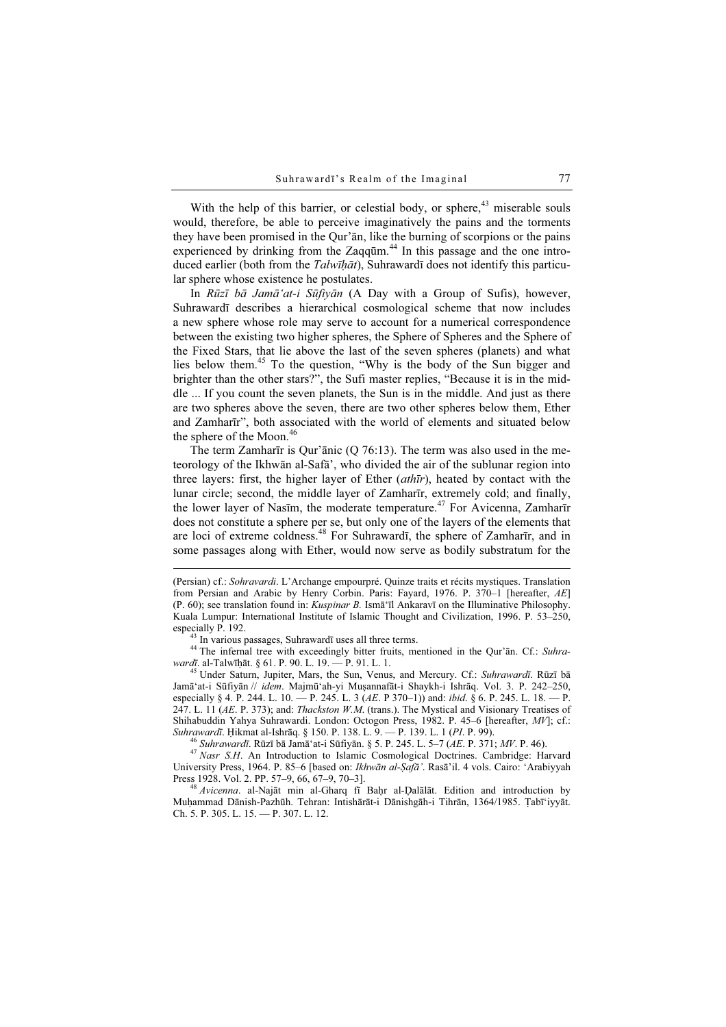With the help of this barrier, or celestial body, or sphere, $43$  miserable souls would, therefore, be able to perceive imaginatively the pains and the torments they have been promised in the Qur'ān, like the burning of scorpions or the pains experienced by drinking from the Zaqqūm. $44$  In this passage and the one introduced earlier (both from the Talwīhāt), Suhrawardī does not identify this particular sphere whose existence he postulates.

In Rūzī bā Jamā'at-i Sūfiyān (A Day with a Group of Sufis), however, Suhrawardī describes a hierarchical cosmological scheme that now includes a new sphere whose role may serve to account for a numerical correspondence between the existing two higher spheres, the Sphere of Spheres and the Sphere of the Fixed Stars, that lie above the last of the seven spheres (planets) and what lies below them.<sup>45</sup> To the question, "Why is the body of the Sun bigger and brighter than the other stars?", the Sufi master replies, "Because it is in the middle ... If you count the seven planets, the Sun is in the middle. And just as there are two spheres above the seven, there are two other spheres below them, Ether and Zamharīr", both associated with the world of elements and situated below the sphere of the Moon.<sup>46</sup>

The term Zamharīr is Qur'ānic (Q 76:13). The term was also used in the meteorology of the Ikhwān al-Safā', who divided the air of the sublunar region into three layers: first, the higher layer of Ether (athīr), heated by contact with the lunar circle; second, the middle layer of Zamharīr, extremely cold; and finally, the lower layer of Nasīm, the moderate temperature.<sup>47</sup> For Avicenna, Zamharīr does not constitute a sphere per se, but only one of the layers of the elements that are loci of extreme coldness.<sup>48</sup> For Suhrawardī, the sphere of Zamharīr, and in some passages along with Ether, would now serve as bodily substratum for the

<sup>43</sup> In various passages, Suhrawardī uses all three terms.<br><sup>44</sup> The infernal tree with exceedingly bitter fruits, mentioned in the Qur'ān. Cf.: Suhra-<br>*wardī*. al-Talwīhāt. § 61. P. 90. L. 19. — P. 91. L. 1.

<sup>45</sup> Under Saturn, Jupiter, Mars, the Sun, Venus, and Mercury. Cf.: Suhrawardī. Rūzī bā Jamā'at-i Sūfiyān // idem. Majmū'ah-yi Muṣannafāt-i Shaykh-i Ishrāq. Vol. 3. P. 242–250, especially § 4. P. 244. L.  $10. -P$ . 245. L. 3 (AE. P 370–1)) and: *ibid.* § 6. P. 245. L. 18. -- P. 247. L. 11 ( $AE$ , P. 373); and: *Thackston W.M.* (trans.). The Mystical and Visionary Treatises of Shihabuddin Yahya Suhrawardi. London: Octogon Press, 1982. P. 45–6 [hereafter, MV]; cf.: Suhrawardī. Hikmat al-Ishrāq. § 150. P. 138. L. 9. -- P. 139. L. 1 (PI. P. 99).

<sup>46</sup> Suhrawardī. Rūzī bā Jamā'at-i Sūfiyān. § 5. P. 245. L. 5–7 (AE. P. 371; MV. P. 46).<br><sup>47</sup> Nasr S.H. An Introduction to Islamic Cosmological Doctrines. Cambridge: Harvard University Press, 1964. P. 85–6 [based on: *Ikhwān al-Ṣafā*'. Rasā'il. 4 vols. Cairo: 'Arabiyyah Press 1928. Vol. 2. PP. 57–9, 66, 67–9, 70–3].

<sup>48</sup> Avicenna. al-Najāt min al-Gharq fī Baḥr al-Dalālāt. Edition and introduction by Muḥammad Dānish-Pazhūh. Tehran: Intishārāt-i Dānishgāh-i Tihrān, 1364/1985. Ṭabī'iyyāt. Ch. 5. P. 305. L. 15. — P. 307. L. 12.

<sup>(</sup>Persian) cf.: Sohravardi. L'Archange empourpré. Quinze traits et récits mystiques. Translation from Persian and Arabic by Henry Corbin. Paris: Fayard, 1976. P. 370–1 [hereafter, AE] (P. 60); see translation found in: Kuspinar B. Ismā'īl Ankaravī on the Illuminative Philosophy. Kuala Lumpur: International Institute of Islamic Thought and Civilization, 1996. P. 53–250, especially P. 192.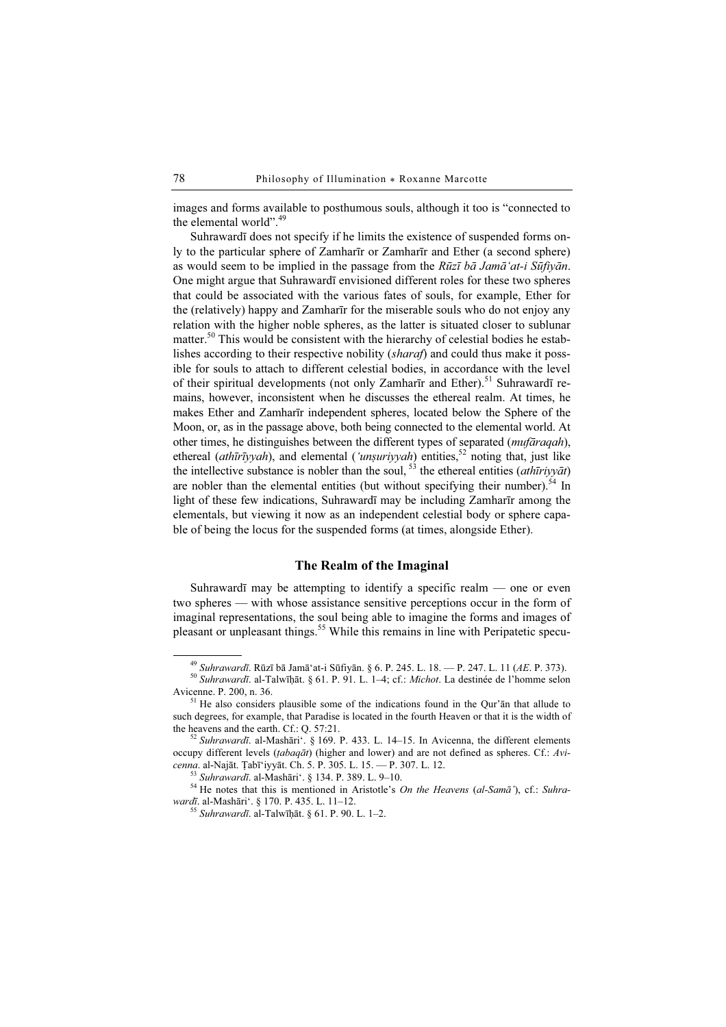images and forms available to posthumous souls, although it too is "connected to the elemental world".<sup>49</sup>

Suhrawardī does not specify if he limits the existence of suspended forms only to the particular sphere of Zamharīr or Zamharīr and Ether (a second sphere) as would seem to be implied in the passage from the  $Rūzī bā Jamā'at-i Sūfivān$ . One might argue that Suhrawardī envisioned different roles for these two spheres that could be associated with the various fates of souls, for example, Ether for the (relatively) happy and Zamharīr for the miserable souls who do not enjoy any relation with the higher noble spheres, as the latter is situated closer to sublunar matter.<sup>50</sup> This would be consistent with the hierarchy of celestial bodies he establishes according to their respective nobility (sharaf) and could thus make it possible for souls to attach to different celestial bodies, in accordance with the level of their spiritual developments (not only Zamharīr and Ether).<sup>51</sup> Suhrawardī remains, however, inconsistent when he discusses the ethereal realm. At times, he makes Ether and Zamharīr independent spheres, located below the Sphere of the Moon, or, as in the passage above, both being connected to the elemental world. At other times, he distinguishes between the different types of separated (mufāraqah), ethereal (ath $\overline{u}$ riyyah), and elemental ('unsuriyyah) entities,  $52$  noting that, just like the intellective substance is nobler than the soul,  $5^3$  the ethereal entities (*athūriyyāt*) are nobler than the elemental entities (but without specifying their number).<sup>54</sup> In light of these few indications, Suhrawardī may be including Zamharīr among the elementals, but viewing it now as an independent celestial body or sphere capable of being the locus for the suspended forms (at times, alongside Ether).

## The Realm of the Imaginal

Suhrawardī may be attempting to identify a specific realm  $-$  one or even two spheres — with whose assistance sensitive perceptions occur in the form of imaginal representations, the soul being able to imagine the forms and images of pleasant or unpleasant things.<sup>55</sup> While this remains in line with Peripatetic specu-

<sup>&</sup>lt;sup>49</sup> Suhrawardī. Rūzī bā Jamā'at-i Sūfiyān. § 6. P. 245. L. 18. — P. 247. L. 11 (*AE*. P. 373).<br><sup>50</sup> Suhrawardī. al-Talwīḥāt. § 61. P. 91. L. 1–4; cf.: *Michot*. La destinée de l'homme selon<br>Avicenne. P. 200, n. 36.

 $<sup>51</sup>$  He also considers plausible some of the indications found in the Our' $an$  that allude to</sup> such degrees, for example, that Paradise is located in the fourth Heaven or that it is the width of the heavens and the earth. Cf.: O. 57:21.

<sup>&</sup>lt;sup>52</sup> Suhrawardī. al-Mashāri'. § 169. P. 433. L. 14–15. In Avicenna, the different elements occupy different levels (tabaqāt) (higher and lower) and are not defined as spheres. Cf.: Avicenna. al-Najāt. Țabī'iyyāt. Ch. 5. P. 305. L. 15. — P. 307. L. 12.<br><sup>53</sup> Suhrawardī. al-Mashāri'. § 134. P. 389. L. 9–10.<br><sup>54</sup> He notes that this is mentioned in Aristotle's *On the Heavens (al-Samā')*, cf.: Suhra-

wardī. al-Mashāri'. § 170. P. 435. L. 11–12.

 $55$  Suhrawardī. al-Talwīhāt. § 61. P. 90. L. 1-2.